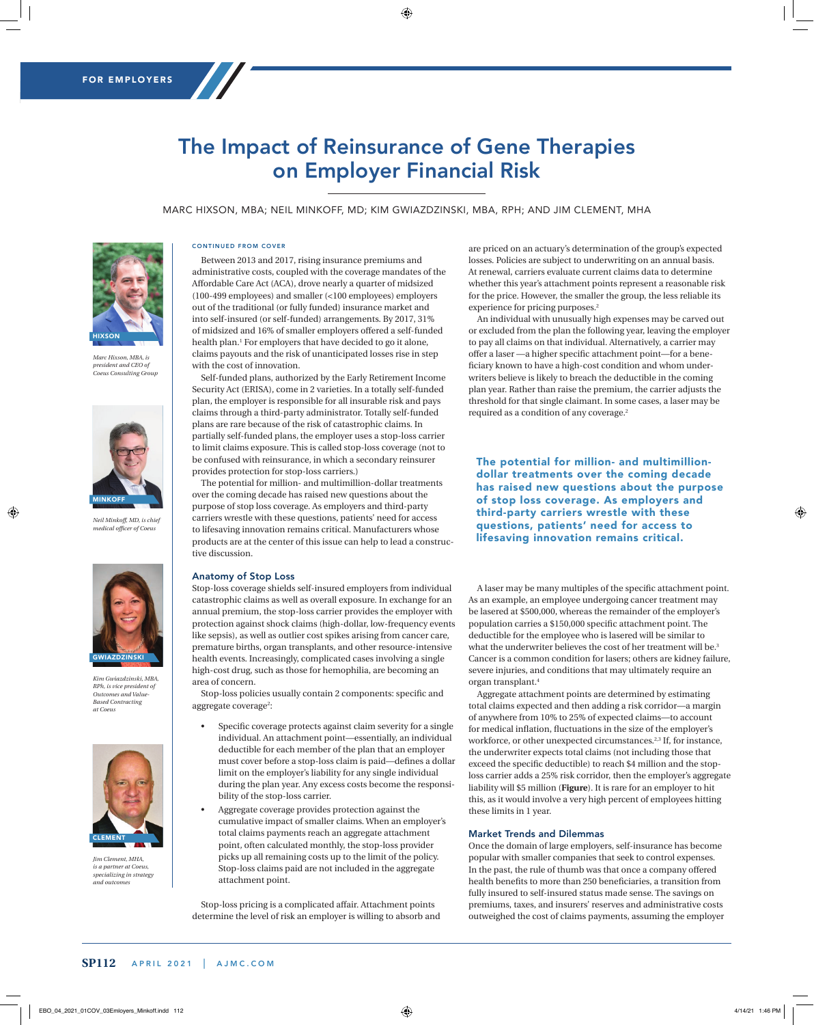# The Impact of Reinsurance of Gene Therapies on Employer Financial Risk

MARC HIXSON, MBA; NEIL MINKOFF, MD; KIM GWIAZDZINSKI, MBA, RPH; AND JIM CLEMENT, MHA



*Marc Hixson, MBA, is president and CEO of Coeus Consulting Group*



*Neil Minkoff, MD, is chief medical officer of Coeus*



*Kim Gwiazdzinski, MBA, RPh, is vice president of Outcomes and Value-Based Contracting at Coeus*



*Jim Clement, MHA, is a partner at Coeus, specializing in strategy and outcomes*

#### CONTINUED FROM COVER

Between 2013 and 2017, rising insurance premiums and administrative costs, coupled with the coverage mandates of the Affordable Care Act (ACA), drove nearly a quarter of midsized (100-499 employees) and smaller (<100 employees) employers out of the traditional (or fully funded) insurance market and into self-insured (or self-funded) arrangements. By 2017, 31% of midsized and 16% of smaller employers offered a self-funded health plan.1 For employers that have decided to go it alone, claims payouts and the risk of unanticipated losses rise in step with the cost of innovation.

Self-funded plans, authorized by the Early Retirement Income Security Act (ERISA), come in 2 varieties. In a totally self-funded plan*,* the employer is responsible for all insurable risk and pays claims through a third-party administrator. Totally self-funded plans are rare because of the risk of catastrophic claims. In partially self-funded plans*,* the employer uses a stop-loss carrier to limit claims exposure. This is called stop-loss coverage (not to be confused with reinsurance, in which a secondary reinsurer provides protection for stop-loss carriers.)

The potential for million- and multimillion-dollar treatments over the coming decade has raised new questions about the purpose of stop loss coverage. As employers and third-party carriers wrestle with these questions, patients' need for access to lifesaving innovation remains critical. Manufacturers whose products are at the center of this issue can help to lead a constructive discussion.

## Anatomy of Stop Loss

Stop-loss coverage shields self-insured employers from individual catastrophic claims as well as overall exposure. In exchange for an annual premium, the stop-loss carrier provides the employer with protection against shock claims (high-dollar, low-frequency events like sepsis), as well as outlier cost spikes arising from cancer care, premature births, organ transplants, and other resource-intensive health events. Increasingly, complicated cases involving a single high-cost drug, such as those for hemophilia, are becoming an area of concern.

Stop-loss policies usually contain 2 components: specific and aggregate coverage<sup>2</sup>:

- Specific coverage protects against claim severity for a single individual. An attachment point—essentially, an individual deductible for each member of the plan that an employer must cover before a stop-loss claim is paid—defines a dollar limit on the employer's liability for any single individual during the plan year. Any excess costs become the responsibility of the stop-loss carrier.
- Aggregate coverage provides protection against the cumulative impact of smaller claims. When an employer's total claims payments reach an aggregate attachment point*,* often calculated monthly, the stop-loss provider picks up all remaining costs up to the limit of the policy. Stop-loss claims paid are not included in the aggregate attachment point.

Stop-loss pricing is a complicated affair. Attachment points determine the level of risk an employer is willing to absorb and are priced on an actuary's determination of the group's expected losses. Policies are subject to underwriting on an annual basis. At renewal, carriers evaluate current claims data to determine whether this year's attachment points represent a reasonable risk for the price. However, the smaller the group, the less reliable its experience for pricing purposes.<sup>2</sup>

An individual with unusually high expenses may be carved out or excluded from the plan the following year, leaving the employer to pay all claims on that individual. Alternatively, a carrier may offer a laser —a higher specific attachment point—for a beneficiary known to have a high-cost condition and whom underwriters believe is likely to breach the deductible in the coming plan year. Rather than raise the premium, the carrier adjusts the threshold for that single claimant. In some cases, a laser may be required as a condition of any coverage.2

The potential for million- and multimilliondollar treatments over the coming decade has raised new questions about the purpose of stop loss coverage. As employers and third-party carriers wrestle with these questions, patients' need for access to lifesaving innovation remains critical.

A laser may be many multiples of the specific attachment point. As an example, an employee undergoing cancer treatment may be lasered at \$500,000, whereas the remainder of the employer's population carries a \$150,000 specific attachment point. The deductible for the employee who is lasered will be similar to what the underwriter believes the cost of her treatment will be.<sup>3</sup> Cancer is a common condition for lasers; others are kidney failure, severe injuries, and conditions that may ultimately require an organ transplant.4

Aggregate attachment points are determined by estimating total claims expected and then adding a risk corridor—a margin of anywhere from 10% to 25% of expected claims—to account for medical inflation, fluctuations in the size of the employer's workforce, or other unexpected circumstances.2,3 If, for instance, the underwriter expects total claims (not including those that exceed the specific deductible) to reach \$4 million and the stoploss carrier adds a 25% risk corridor, then the employer's aggregate liability will \$5 million (**Figure**). It is rare for an employer to hit this, as it would involve a very high percent of employees hitting these limits in 1 year.

#### Market Trends and Dilemmas

Once the domain of large employers, self-insurance has become popular with smaller companies that seek to control expenses. In the past, the rule of thumb was that once a company offered health benefits to more than 250 beneficiaries, a transition from fully insured to self-insured status made sense. The savings on premiums, taxes, and insurers' reserves and administrative costs outweighed the cost of claims payments, assuming the employer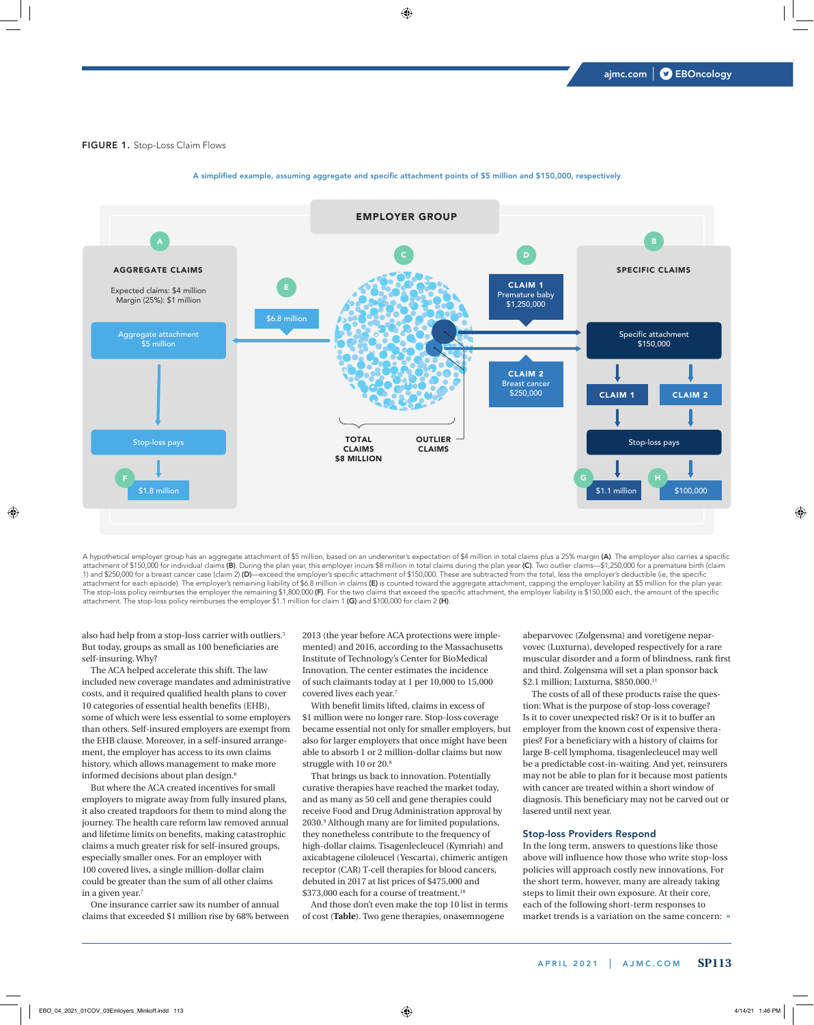### FIGURE 1. Stop-Loss Claim Flows



## A simplified example, assuming aggregate and specific attachment points of \$5 million and \$150,000, respectively

. <u>1.8 million \$1.1 million \$1.1 million \$1.1 million \$1.1 million \$1.1 million \$1.1 million \$1.1 million \$1.1 mill</u>

A hypothetical employer group has an aggregate attachment of \$5 million, based on an underwriter's expectation of \$4 million in total claims plus a 25% margin (A). The employer also carries a specific attachment of \$150,000 for individual claims (**B)**. During the plan year, this employer incurs \$8 million in total claims during the plan year (**C**). Two outlier claims—\$1,250,000 for a premature birth (claim 1) and \$250,000 for a breast cancer case (claim 2) (D)—exceed the employer's specific attachment of \$150,000. These are subtracted from the total, less the employer's deductible (ie, the specific attachment for each episode). The employer's remaining liability of \$6.8 million in claims (E) is counted toward the aggregate attachment, capping the employer liability at \$5 million for the plan year. The stop-loss policy reimburses the employer the remaining \$1,800,000 (F). For the two claims that exceed the specific attachment, the employer liability is \$150,000 each, the amount of the specific attachment. The stop-loss policy reimburses the employer \$1.1 million for claim 1 (G) and \$100,000 for claim 2 (H).

also had help from a stop-loss carrier with outliers.<sup>5</sup> But today, groups as small as 100 beneficiaries are self-insuring. Why?

The ACA helped accelerate this shift. The law included new coverage mandates and administrative costs, and it required qualified health plans to cover 10 categories of essential health benefits (EHB), some of which were less essential to some employers than others. Self-insured employers are exempt from the EHB clause. Moreover, in a self-insured arrangement, the employer has access to its own claims history, which allows management to make more informed decisions about plan design.6

But where the ACA created incentives for small employers to migrate away from fully insured plans, it also created trapdoors for them to mind along the journey. The health care reform law removed annual and lifetime limits on benefits, making catastrophic claims a much greater risk for self-insured groups, especially smaller ones. For an employer with 100 covered lives, a single million-dollar claim could be greater than the sum of all other claims in a given year.7

One insurance carrier saw its number of annual claims that exceeded \$1 million rise by 68% between 2013 (the year before ACA protections were implemented) and 2016, according to the Massachusetts Institute of Technology's Center for BioMedical Innovation. The center estimates the incidence of such claimants today at 1 per 10,000 to 15,000 covered lives each year.7

With benefit limits lifted, claims in excess of \$1 million were no longer rare. Stop-loss coverage became essential not only for smaller employers, but also for larger employers that once might have been able to absorb 1 or 2 million-dollar claims but now struggle with 10 or 20.8

That brings us back to innovation. Potentially curative therapies have reached the market today, and as many as 50 cell and gene therapies could receive Food and Drug Administration approval by 2030.9 Although many are for limited populations, they nonetheless contribute to the frequency of high-dollar claims. Tisagenlecleucel (Kymriah) and axicabtagene ciloleucel (Yescarta), chimeric antigen receptor (CAR) T-cell therapies for blood cancers, debuted in 2017 at list prices of \$475,000 and \$373,000 each for a course of treatment.<sup>10</sup>

And those don't even make the top 10 list in terms of cost (**Table**). Two gene therapies, onasemnogene

abeparvovec (Zolgensma) and voretigene neparvovec (Luxturna), developed respectively for a rare muscular disorder and a form of blindness, rank first and third. Zolgensma will set a plan sponsor back \$2.1 million; Luxturna, \$850,000.11

The costs of all of these products raise the question: What is the purpose of stop-loss coverage? Is it to cover unexpected risk? Or is it to buffer an employer from the known cost of expensive therapies? For a beneficiary with a history of claims for large B-cell lymphoma, tisagenlecleucel may well be a predictable cost-in-waiting. And yet, reinsurers may not be able to plan for it because most patients with cancer are treated within a short window of diagnosis. This beneficiary may not be carved out or lasered until next year.

#### Stop-loss Providers Respond

» market trends is a variation on the same concern: In the long term, answers to questions like those above will influence how those who write stop-loss policies will approach costly new innovations. For the short term, however, many are already taking steps to limit their own exposure. At their core, each of the following short-term responses to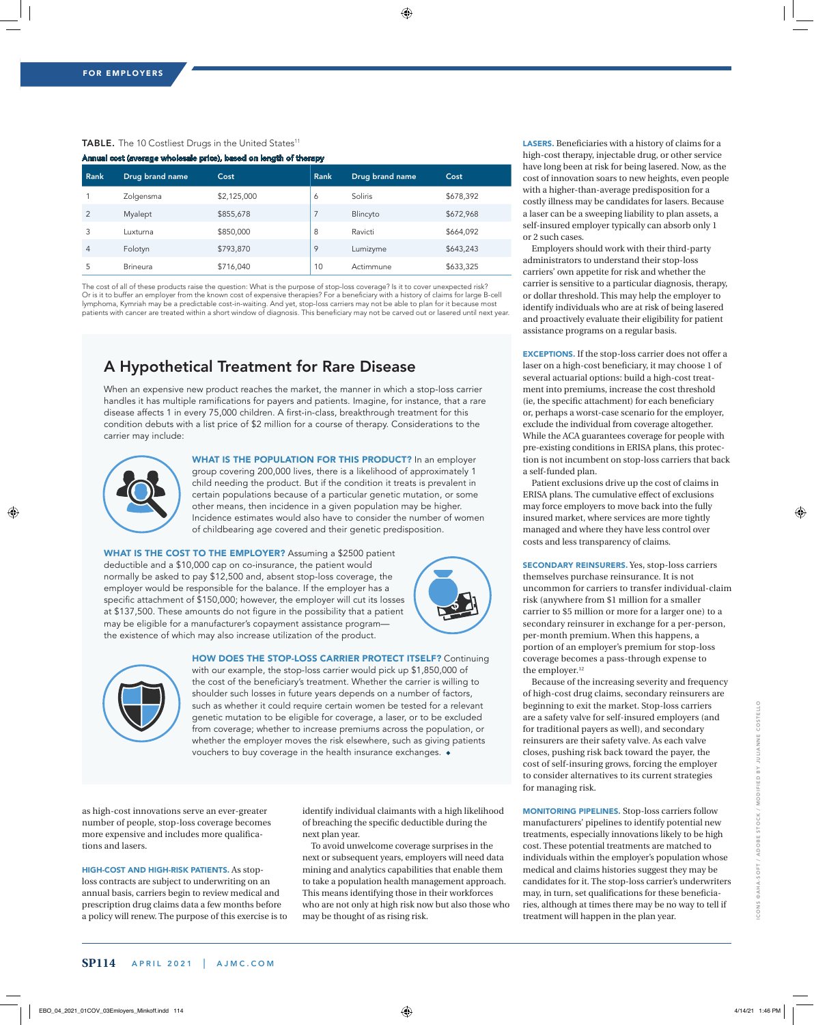## TABLE. The 10 Costliest Drugs in the United States<sup>11</sup> Annual cost (average wholesale price), based on length of therapy

| <b>Rank</b>    | Drug brand name | Cost        | <b>Rank</b> | Drug brand name | Cost      |
|----------------|-----------------|-------------|-------------|-----------------|-----------|
|                | Zolgensma       | \$2,125,000 | 6           | Soliris         | \$678,392 |
| 2              | Myalept         | \$855,678   | 7           | Blincyto        | \$672,968 |
| 3              | Luxturna        | \$850,000   | 8           | Ravicti         | \$664,092 |
| $\overline{4}$ | Folotyn         | \$793,870   | 9           | Lumizyme        | \$643,243 |
| 5              | <b>Brineura</b> | \$716,040   | 10          | Actimmune       | \$633,325 |

The cost of all of these products raise the question: What is the purpose of stop-loss coverage? Is it to cover unexpected risk? Or is it to buffer an employer from the known cost of expensive therapies? For a beneficiary with a history of claims for large B-cell lymphoma, Kymriah may be a predictable cost-in-waiting. And yet, stop-loss carriers may not be able to plan for it because most patients with cancer are treated within a short window of diagnosis. This beneficiary may not be carved out or lasered until next year.

## A Hypothetical Treatment for Rare Disease

When an expensive new product reaches the market, the manner in which a stop-loss carrier handles it has multiple ramifications for payers and patients. magine, for instance, that a rare disease affects 1 in every 75,000 children. A first-in-class, breakthrough treatment for this condition debuts with a list price of \$2 million for a course of therapy. Considerations to the carrier may include:



WHAT IS THE POPULATION FOR THIS PRODUCT? In an employer group covering 200,000 lives, there is a likelihood of approximately 1 child needing the product. But if the condition it treats is prevalent in certain populations because of a particular genetic mutation, or some other means, then incidence in a given population may be higher. ncidence estimates would also have to consider the number of women of childbearing age covered and their genetic predisposition.

WHAT IS THE COST TO THE EMPLOYER? Assuming a \$2500 patient deductible and a \$10,000 cap on co-insurance, the patient would normally be asked to pay \$12,500 and, absent stop-loss coverage, the employer would be responsible for the balance. If the employer has a specific attachment of \$150,000; however, the employer will cut its losses at \$137,500. These amounts do not figure in the possibility that a patient may be eligible for a manufacturer's copayment assistance programthe existence of which may also increase utilization of the product.



HOW DOES THE STOP-LOSS CARRIER PROTECT ITSELF? Continuing



with our example, the stop-loss carrier would pick up \$1,850,000 of the cost of the beneficiary's treatment. Whether the carrier is willing to shoulder such losses in future years depends on a number of factors, such as whether it could require certain women be tested for a relevant genetic mutation to be eligible for coverage, a laser, or to be excluded from coverage; whether to increase premiums across the population, or whether the employer moves the risk elsewhere, such as giving patients vouchers to buy coverage in the health insurance exchanges. ◆

as high-cost innovations serve an ever-greater number of people, stop-loss coverage becomes more expensive and includes more qualifications and lasers.

HIGH-COST AND HIGH-RISK PATIENTS. As stoploss contracts are subject to underwriting on an annual basis, carriers begin to review medical and prescription drug claims data a few months before a policy will renew. The purpose of this exercise is to identify individual claimants with a high likelihood of breaching the specific deductible during the next plan year.

To avoid unwelcome coverage surprises in the next or subsequent years, employers will need data mining and analytics capabilities that enable them to take a population health management approach. This means identifying those in their workforces who are not only at high risk now but also those who may be thought of as rising risk.

LASERS. Beneficiaries with a history of claims for a high-cost therapy, injectable drug, or other service have long been at risk for being lasered. Now, as the cost of innovation soars to new heights, even people with a higher-than-average predisposition for a costly illness may be candidates for lasers. Because a laser can be a sweeping liability to plan assets, a self-insured employer typically can absorb only 1 or 2 such cases.

Employers should work with their third-party administrators to understand their stop-loss carriers' own appetite for risk and whether the carrier is sensitive to a particular diagnosis, therapy, or dollar threshold. This may help the employer to identify individuals who are at risk of being lasered and proactively evaluate their eligibility for patient assistance programs on a regular basis.

EXCEPTIONS. If the stop-loss carrier does not offer a laser on a high-cost beneficiary, it may choose 1 of several actuarial options: build a high-cost treatment into premiums, increase the cost threshold (ie, the specific attachment) for each beneficiary or, perhaps a worst-case scenario for the employer, exclude the individual from coverage altogether. While the ACA guarantees coverage for people with pre-existing conditions in ERISA plans, this protection is not incumbent on stop-loss carriers that back a self-funded plan.

Patient exclusions drive up the cost of claims in ERISA plans. The cumulative effect of exclusions may force employers to move back into the fully insured market, where services are more tightly managed and where they have less control over costs and less transparency of claims.

SECONDARY REINSURERS. Yes, stop-loss carriers themselves purchase reinsurance. It is not uncommon for carriers to transfer individual-claim risk (anywhere from \$1 million for a smaller carrier to \$5 million or more for a larger one) to a secondary reinsurer in exchange for a per-person, per-month premium. When this happens, a portion of an employer's premium for stop-loss coverage becomes a pass-through expense to the employer.<sup>12</sup>

Because of the increasing severity and frequency of high-cost drug claims, secondary reinsurers are beginning to exit the market. Stop-loss carriers are a safety valve for self-insured employers (and for traditional payers as well), and secondary reinsurers are their safety valve. As each valve closes, pushing risk back toward the payer, the cost of self-insuring grows, forcing the employer to consider alternatives to its current strategies for managing risk.

MONITORING PIPELINES. Stop-loss carriers follow manufacturers' pipelines to identify potential new treatments, especially innovations likely to be high cost. These potential treatments are matched to individuals within the employer's population whose medical and claims histories suggest they may be candidates for it. The stop-loss carrier's underwriters may, in turn, set qualifications for these beneficiaries, although at times there may be no way to tell if treatment will happen in the plan year.